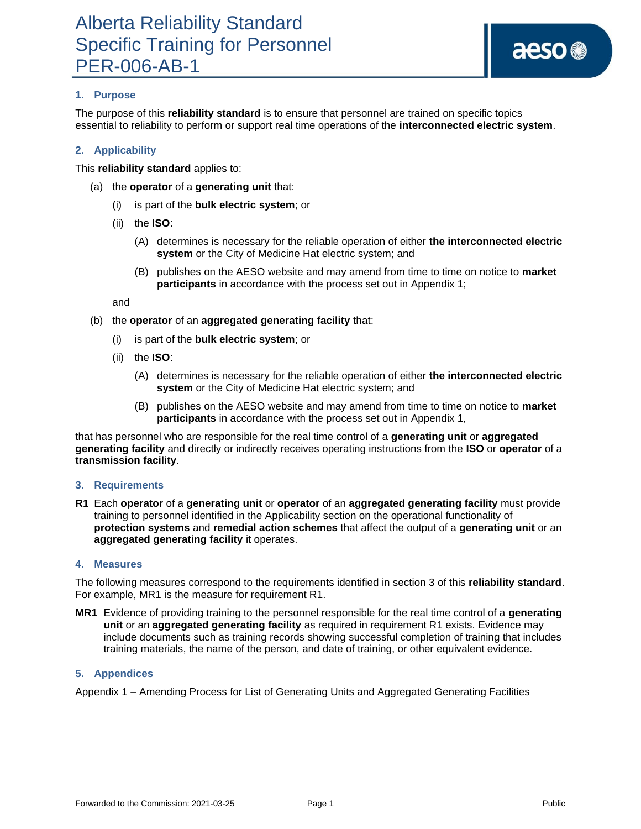# **1. Purpose**

The purpose of this **reliability standard** is to ensure that personnel are trained on specific topics essential to reliability to perform or support real time operations of the **interconnected electric system**.

### **2. Applicability**

This **reliability standard** applies to:

- (a) the **operator** of a **generating unit** that:
	- (i) is part of the **bulk electric system**; or
	- (ii) the **ISO**:
		- (A) determines is necessary for the reliable operation of either **the interconnected electric system** or the City of Medicine Hat electric system; and
		- (B) publishes on the AESO website and may amend from time to time on notice to **market participants** in accordance with the process set out in Appendix 1;

and

- (b) the **operator** of an **aggregated generating facility** that:
	- (i) is part of the **bulk electric system**; or
	- (ii) the **ISO**:
		- (A) determines is necessary for the reliable operation of either **the interconnected electric system** or the City of Medicine Hat electric system; and
		- (B) publishes on the AESO website and may amend from time to time on notice to **market participants** in accordance with the process set out in Appendix 1,

that has personnel who are responsible for the real time control of a **generating unit** or **aggregated generating facility** and directly or indirectly receives operating instructions from the **ISO** or **operator** of a **transmission facility**.

### **3. Requirements**

**R1** Each **operator** of a **generating unit** or **operator** of an **aggregated generating facility** must provide training to personnel identified in the Applicability section on the operational functionality of **protection systems** and **remedial action schemes** that affect the output of a **generating unit** or an **aggregated generating facility** it operates.

### **4. Measures**

The following measures correspond to the requirements identified in section 3 of this **reliability standard**. For example, MR1 is the measure for requirement R1.

**MR1** Evidence of providing training to the personnel responsible for the real time control of a **generating unit** or an **aggregated generating facility** as required in requirement R1 exists. Evidence may include documents such as training records showing successful completion of training that includes training materials, the name of the person, and date of training, or other equivalent evidence.

### **5. Appendices**

Appendix 1 – Amending Process for List of Generating Units and Aggregated Generating Facilities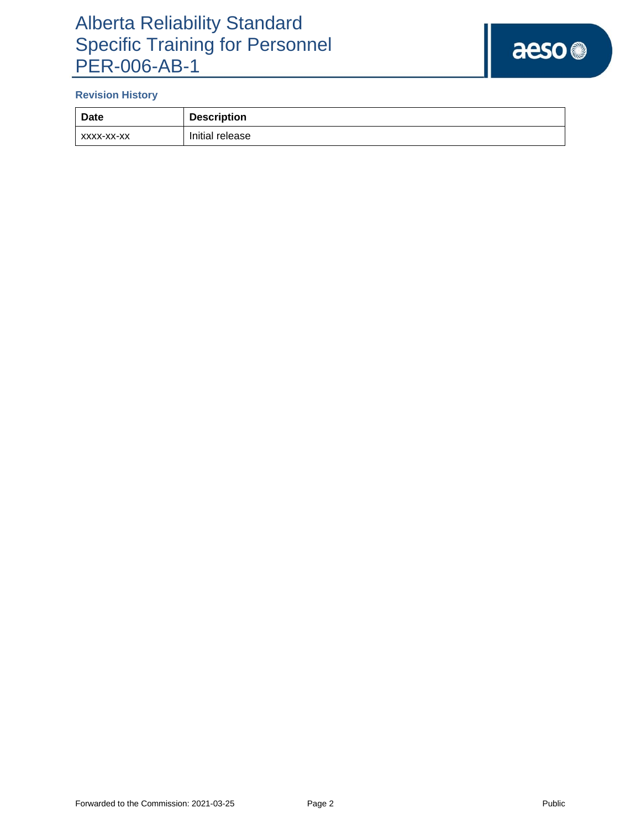# Alberta Reliability Standard Specific Training for Personnel PER-006-AB-1

# aeso<sup>®</sup>

# **Revision History**

| Date       | <b>Description</b> |
|------------|--------------------|
| XXXX-XX-XX | Initial release    |